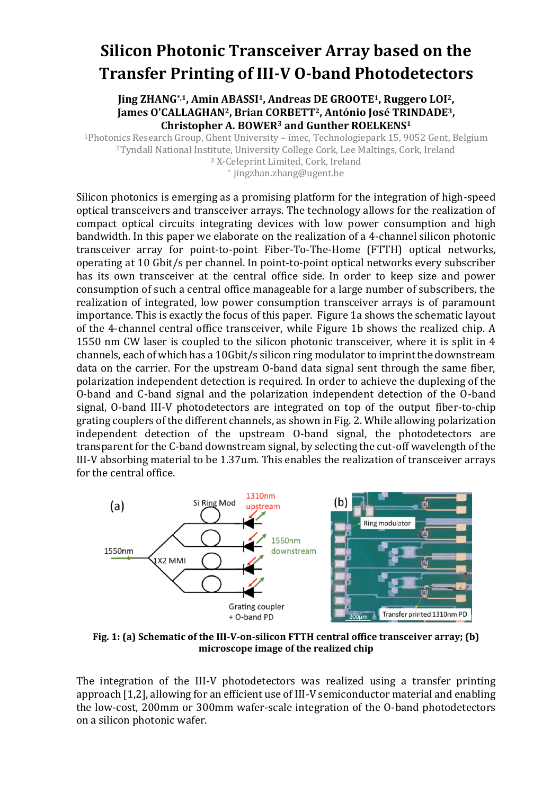## **Silicon Photonic Transceiver Array based on the Transfer Printing of III-V O-band Photodetectors**

**Jing ZHANG\*,1, Amin ABASSI1, Andreas DE GROOTE1, Ruggero LOI2, James O'CALLAGHAN2, Brian CORBETT2, António José TRINDADE3, Christopher A. BOWER<sup>3</sup> and Gunther ROELKENS<sup>1</sup>**

Photonics Research Group, Ghent University – imec, Technologiepark 15, 9052 Gent, Belgium Tyndall National Institute, University College Cork, Lee Maltings, Cork, Ireland X-Celeprint Limited, Cork, Ireland \* jingzhan.zhang@ugent.be

Silicon photonics is emerging as a promising platform for the integration of high-speed optical transceivers and transceiver arrays. The technology allows for the realization of compact optical circuits integrating devices with low power consumption and high bandwidth. In this paper we elaborate on the realization of a 4-channel silicon photonic transceiver array for point-to-point Fiber-To-The-Home (FTTH) optical networks, operating at 10 Gbit/s per channel. In point-to-point optical networks every subscriber has its own transceiver at the central office side. In order to keep size and power consumption of such a central office manageable for a large number of subscribers, the realization of integrated, low power consumption transceiver arrays is of paramount importance. This is exactly the focus of this paper. Figure 1a shows the schematic layout of the 4-channel central office transceiver, while Figure 1b shows the realized chip. A 1550 nm CW laser is coupled to the silicon photonic transceiver, where it is split in 4 channels, each of which has a 10Gbit/s silicon ring modulator to imprint the downstream data on the carrier. For the upstream O-band data signal sent through the same fiber, polarization independent detection is required. In order to achieve the duplexing of the O-band and C-band signal and the polarization independent detection of the O-band signal, O-band III-V photodetectors are integrated on top of the output fiber-to-chip grating couplers of the different channels, as shown in Fig. 2. While allowing polarization independent detection of the upstream O-band signal, the photodetectors are transparent for the C-band downstream signal, by selecting the cut-off wavelength of the III-V absorbing material to be 1.37um. This enables the realization of transceiver arrays for the central office.



**Fig. 1: (a) Schematic of the III-V-on-silicon FTTH central office transceiver array; (b) microscope image of the realized chip**

The integration of the III-V photodetectors was realized using a transfer printing approach [1,2], allowing for an efficient use of III-V semiconductor material and enabling the low-cost, 200mm or 300mm wafer-scale integration of the O-band photodetectors on a silicon photonic wafer.